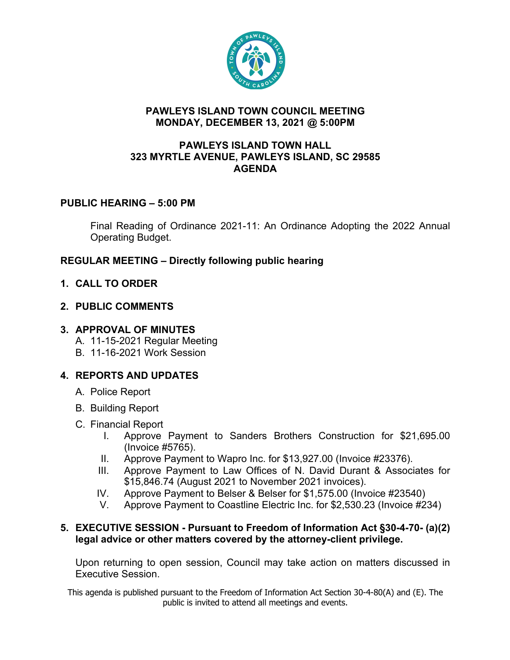

### **PAWLEYS ISLAND TOWN COUNCIL MEETING MONDAY, DECEMBER 13, 2021 @ 5:00PM**

#### **PAWLEYS ISLAND TOWN HALL 323 MYRTLE AVENUE, PAWLEYS ISLAND, SC 29585 AGENDA**

# **PUBLIC HEARING – 5:00 PM**

Final Reading of Ordinance 2021-11: An Ordinance Adopting the 2022 Annual Operating Budget.

# **REGULAR MEETING – Directly following public hearing**

# **1. CALL TO ORDER**

# **2. PUBLIC COMMENTS**

### **3. APPROVAL OF MINUTES**

- A. 11-15-2021 Regular Meeting
- B. 11-16-2021 Work Session

# **4. REPORTS AND UPDATES**

- A. Police Report
- B. Building Report
- C. Financial Report
	- I. Approve Payment to Sanders Brothers Construction for \$21,695.00 (Invoice #5765).
	- II. Approve Payment to Wapro Inc. for \$13,927.00 (Invoice #23376).
	- III. Approve Payment to Law Offices of N. David Durant & Associates for \$15,846.74 (August 2021 to November 2021 invoices).
	- IV. Approve Payment to Belser & Belser for \$1,575.00 (Invoice #23540)
	- V. Approve Payment to Coastline Electric Inc. for \$2,530.23 (Invoice #234)

# **5. EXECUTIVE SESSION - Pursuant to Freedom of Information Act §30-4-70- (a)(2) legal advice or other matters covered by the attorney-client privilege.**

Upon returning to open session, Council may take action on matters discussed in Executive Session.

This agenda is published pursuant to the Freedom of Information Act Section 30-4-80(A) and (E). The public is invited to attend all meetings and events.